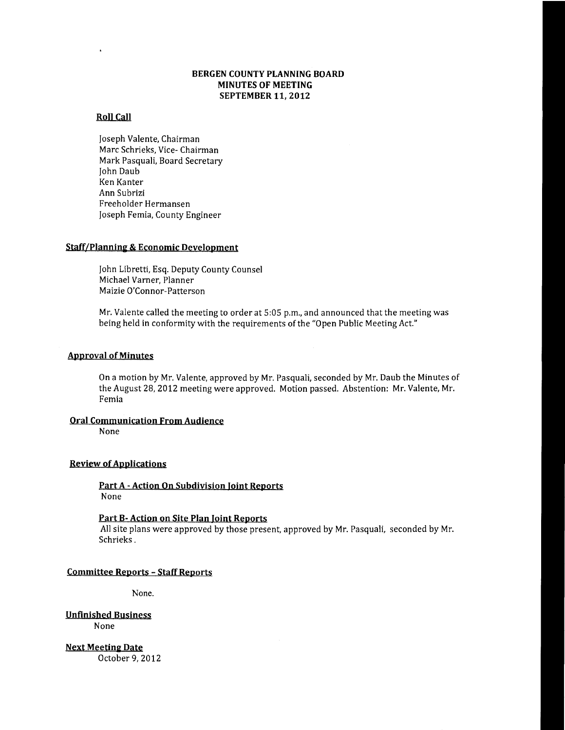# BERGEN COUNTY PLANNING BOARD MINUTES OF MEETING SEPTEMBER 11, 2012

# Roll Call

Joseph Valente, Chairman Marc Schrieks, Vice- Chairman Mark Pasquali, Board Secretary John Daub Ken Kanter Ann Subrizi Freeholder Hermansen Joseph Femia, County Engineer

#### Staff/Planning & Economic Development

John Libretti, Esq. Deputy County Counsel Michael Varner, Planner Maizie O'Connor-Patterson

Mr. Valente called the meeting to order at 5:05 p.m., and announced that the meeting was being held in conformity with the requirements of the "Open Public Meeting Act."

## **Approval of Minutes**

On a motion by Mr. Valente, approved by Mr. Pasquali, seconded by Mr. Daub the Minutes of the August 28, 2012 meeting were approved. Motion passed. Abstention: Mr. Valente, Mr. Femia

#### Oral Communication From Audience

None

# **Review of Applications**

Part A - Action On Subdivision Joint Reports None

## Part B- Action on Site Plan Joint Reports

All site plans were approved by those present, approved by Mr. Pasquali, seconded by Mr. Schrieks.

#### Committee Reports - Staff Reports

None.

Unfinished Business None

**Next Meeting Date** October 9,2012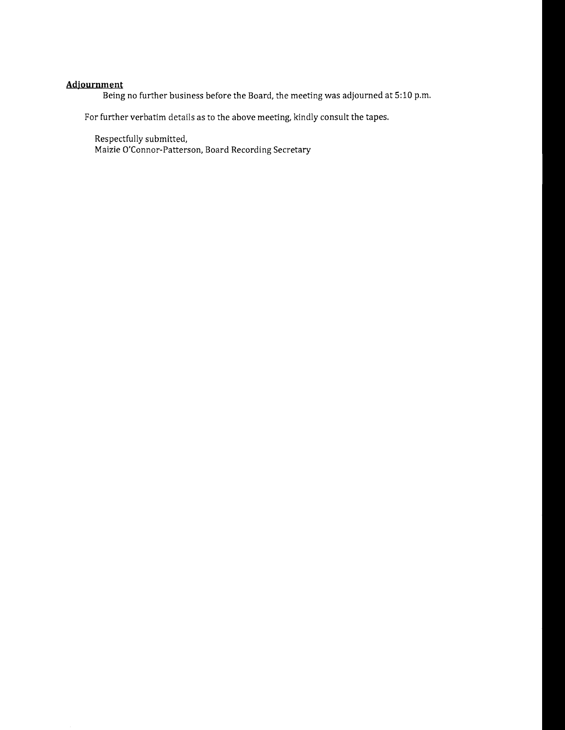# **Adjournment**

Being no further business before the Board, the meeting was adjourned at 5:10 p.m.

For further verbatim details as to the above meeting, kindly consult the tapes.

Respectfully submitted, Maizie O'Connor-Patterson, Board Recording Secretary